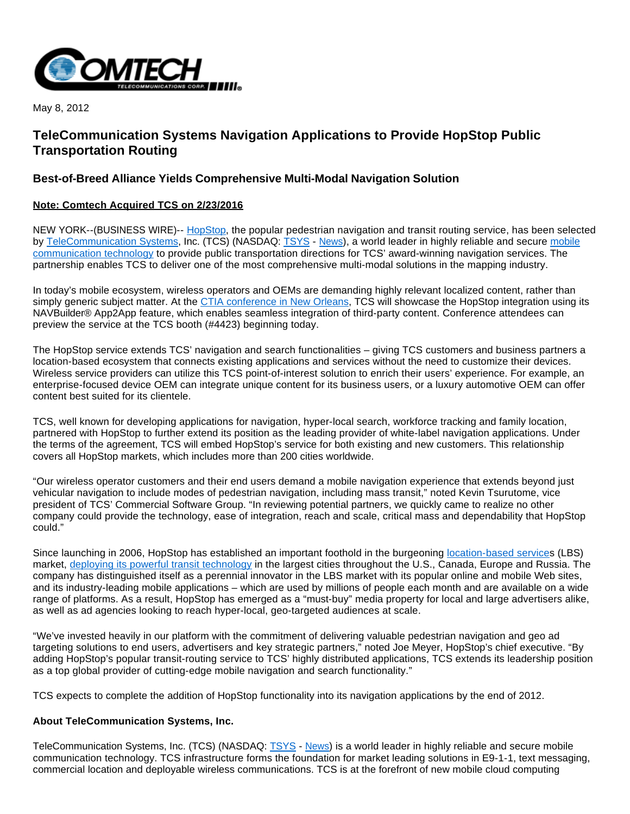

May 8, 2012

# **TeleCommunication Systems Navigation Applications to Provide HopStop Public Transportation Routing**

## **Best-of-Breed Alliance Yields Comprehensive Multi-Modal Navigation Solution**

#### **Note: Comtech Acquired TCS on 2/23/2016**

NEW YORK--(BUSINESS WIRE)-- [HopStop,](http://cts.businesswire.com/ct/CT?id=smartlink&url=http%3A%2F%2Fwww.hopstop.com&esheet=50270290&lan=en-US&anchor=HopStop&index=1&md5=99720e2e8d64c7b70258f9f8bea066b3) the popular pedestrian navigation and transit routing service, has been selected by [TeleCommunication Systems](http://cts.businesswire.com/ct/CT?id=smartlink&url=http%3A%2F%2Fwww.telecomsys.com%2F&esheet=50270290&lan=en-US&anchor=TeleCommunication+Systems&index=2&md5=1480a887dff70f3158e23bcdf0dbaca6), Inc. (TCS) (NASDAQ: [TSYS](http://investor.shareholder.com/q?s=tsys) - [News](http://investor.shareholder.com/q/h?s=tsys)), a world leader in highly reliable and secure [mobile](http://cts.businesswire.com/ct/CT?id=smartlink&url=http%3A%2F%2Fwww.telecomsys.com&esheet=50270290&lan=en-US&anchor=mobile+communication+technology&index=3&md5=4ae64e3f9366a3b63ca31679e66e5ae9)  [communication technology](http://cts.businesswire.com/ct/CT?id=smartlink&url=http%3A%2F%2Fwww.telecomsys.com&esheet=50270290&lan=en-US&anchor=mobile+communication+technology&index=3&md5=4ae64e3f9366a3b63ca31679e66e5ae9) to provide public transportation directions for TCS' award-winning navigation services. The partnership enables TCS to deliver one of the most comprehensive multi-modal solutions in the mapping industry.

In today's mobile ecosystem, wireless operators and OEMs are demanding highly relevant localized content, rather than simply generic subject matter. At the [CTIA conference in New Orleans](http://cts.businesswire.com/ct/CT?id=smartlink&url=http%3A%2F%2Fwww.ctia.org%2Fconventions_events%2Fwireless%2F&esheet=50270290&lan=en-US&anchor=CTIA+conference+in+New+Orleans&index=4&md5=ca8468bb04629b5c9306eece3e47e589), TCS will showcase the HopStop integration using its NAVBuilder® App2App feature, which enables seamless integration of third-party content. Conference attendees can preview the service at the TCS booth (#4423) beginning today.

The HopStop service extends TCS' navigation and search functionalities – giving TCS customers and business partners a location-based ecosystem that connects existing applications and services without the need to customize their devices. Wireless service providers can utilize this TCS point-of-interest solution to enrich their users' experience. For example, an enterprise-focused device OEM can integrate unique content for its business users, or a luxury automotive OEM can offer content best suited for its clientele.

TCS, well known for developing applications for navigation, hyper-local search, workforce tracking and family location, partnered with HopStop to further extend its position as the leading provider of white-label navigation applications. Under the terms of the agreement, TCS will embed HopStop's service for both existing and new customers. This relationship covers all HopStop markets, which includes more than 200 cities worldwide.

"Our wireless operator customers and their end users demand a mobile navigation experience that extends beyond just vehicular navigation to include modes of pedestrian navigation, including mass transit," noted Kevin Tsurutome, vice president of TCS' Commercial Software Group. "In reviewing potential partners, we quickly came to realize no other company could provide the technology, ease of integration, reach and scale, critical mass and dependability that HopStop could."

Since launching in 2006, HopStop has established an important foothold in the burgeoning [location-based service](http://cts.businesswire.com/ct/CT?id=smartlink&url=http%3A%2F%2Fen.wikipedia.org%2Fwiki%2FLocation-based_service&esheet=50270290&lan=en-US&anchor=location-based+service&index=5&md5=01c083d8e7e5c9d4bcdbc27401375c86)s (LBS) market, [deploying its powerful transit technology](http://cts.businesswire.com/ct/CT?id=smartlink&url=http%3A%2F%2Fwww.hopstop.com%2Fabout&esheet=50270290&lan=en-US&anchor=deploying+its+powerful+transit+technology&index=6&md5=779f9437f4e6655129d3103edba51e73) in the largest cities throughout the U.S., Canada, Europe and Russia. The company has distinguished itself as a perennial innovator in the LBS market with its popular online and mobile Web sites, and its industry-leading mobile applications – which are used by millions of people each month and are available on a wide range of platforms. As a result, HopStop has emerged as a "must-buy" media property for local and large advertisers alike, as well as ad agencies looking to reach hyper-local, geo-targeted audiences at scale.

"We've invested heavily in our platform with the commitment of delivering valuable pedestrian navigation and geo ad targeting solutions to end users, advertisers and key strategic partners," noted Joe Meyer, HopStop's chief executive. "By adding HopStop's popular transit-routing service to TCS' highly distributed applications, TCS extends its leadership position as a top global provider of cutting-edge mobile navigation and search functionality."

TCS expects to complete the addition of HopStop functionality into its navigation applications by the end of 2012.

#### **About TeleCommunication Systems, Inc.**

TeleCommunication Systems, Inc. (TCS) (NASDAQ: [TSYS](http://investor.shareholder.com/q?s=tsys) - [News](http://investor.shareholder.com/q/h?s=tsys)) is a world leader in highly reliable and secure mobile communication technology. TCS infrastructure forms the foundation for market leading solutions in E9-1-1, text messaging, commercial location and deployable wireless communications. TCS is at the forefront of new mobile cloud computing